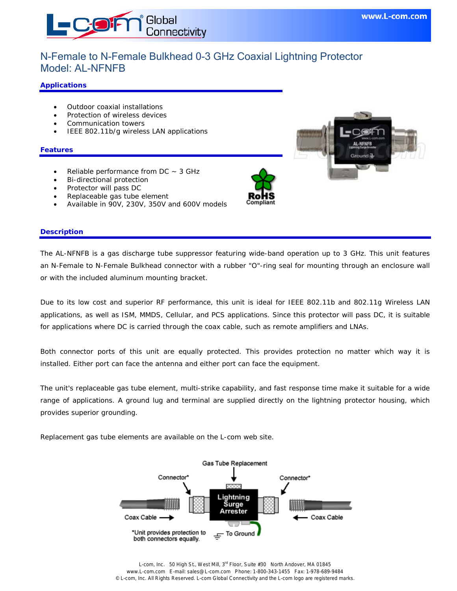

# N-Female to N-Female Bulkhead 0-3 GHz Coaxial Lightning Protector Model: AL-NFNFB

### **Applications**

- Outdoor coaxial installations
- Protection of wireless devices
- Communication towers
- IEEE 802.11b/g wireless LAN applications

#### **Features**

- Reliable performance from  $DC \sim 3$  GHz
- Bi-directional protection
- Protector will pass DC
- Replaceable gas tube element
- Available in 90V, 230V, 350V and 600V models

## **Description**

The AL-NFNFB is a gas discharge tube suppressor featuring wide-band operation up to 3 GHz. This unit features an N-Female to N-Female Bulkhead connector with a rubber "O"-ring seal for mounting through an enclosure wall or with the included aluminum mounting bracket.

Due to its low cost and superior RF performance, this unit is ideal for IEEE 802.11b and 802.11g Wireless LAN applications, as well as ISM, MMDS, Cellular, and PCS applications. Since this protector will pass DC, it is suitable for applications where DC is carried through the coax cable, such as remote amplifiers and LNAs.

Both connector ports of this unit are equally protected. This provides protection no matter which way it is installed. Either port can face the antenna and either port can face the equipment.

The unit's replaceable gas tube element, multi-strike capability, and fast response time make it suitable for a wide range of applications. A ground lug and terminal are supplied directly on the lightning protector housing, which provides superior grounding.

Replacement gas tube elements are available on the L-com web site.